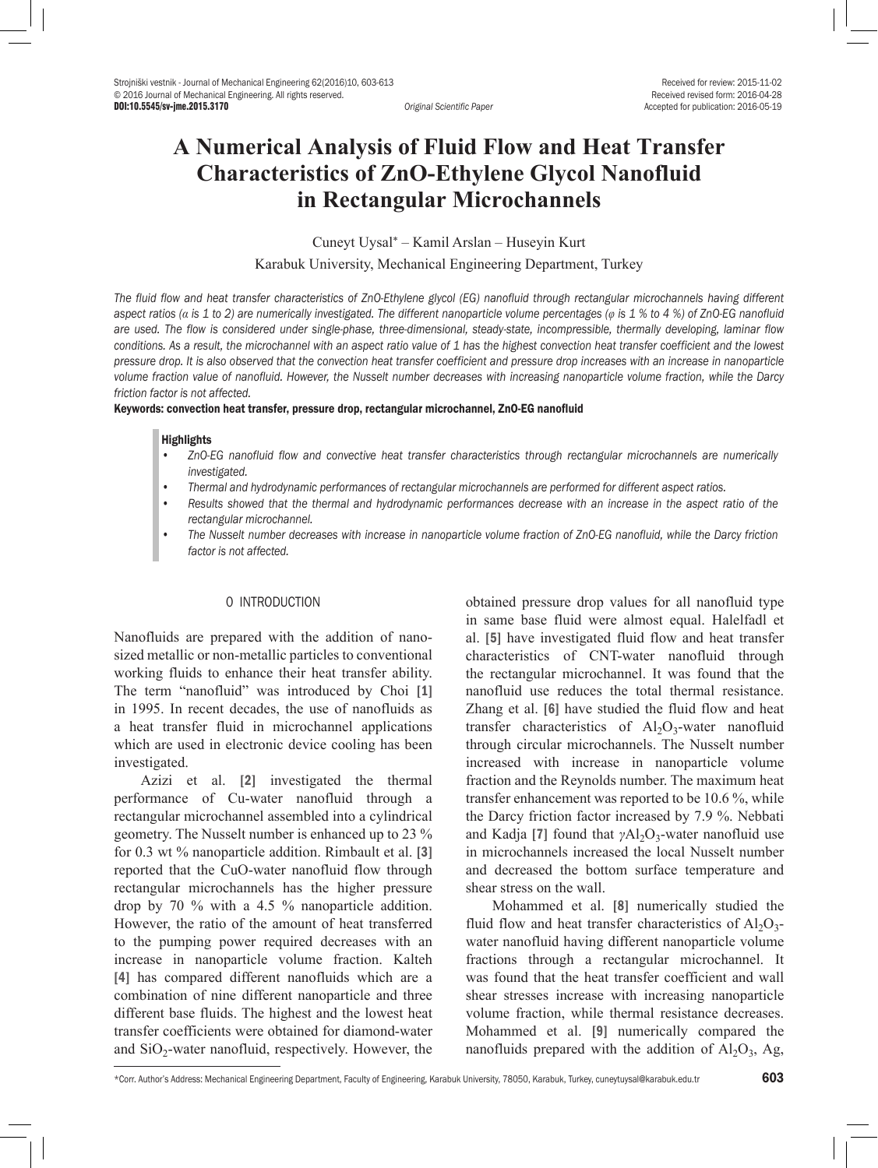Accepted for publication: 2016-05-19

# **A Numerical Analysis of Fluid Flow and Heat Transfer Characteristics of ZnO-Ethylene Glycol Nanofluid in Rectangular Microchannels**

Cuneyt Uysal\* – Kamil Arslan – Huseyin Kurt Karabuk University, Mechanical Engineering Department, Turkey

*The fluid flow and heat transfer characteristics of ZnO-Ethylene glycol (EG) nanofluid through rectangular microchannels having different aspect ratios (α is 1 to 2) are numerically investigated. The different nanoparticle volume percentages (φ is 1 % to 4 %) of ZnO-EG nanofluid are used. The flow is considered under single-phase, three-dimensional, steady-state, incompressible, thermally developing, laminar flow conditions. As a result, the microchannel with an aspect ratio value of 1 has the highest convection heat transfer coefficient and the lowest pressure drop. It is also observed that the convection heat transfer coefficient and pressure drop increases with an increase in nanoparticle volume fraction value of nanofluid. However, the Nusselt number decreases with increasing nanoparticle volume fraction, while the Darcy friction factor is not affected.* 

Keywords: convection heat transfer, pressure drop, rectangular microchannel, ZnO-EG nanofluid

#### **Highlights**

- *• ZnO-EG nanofluid flow and convective heat transfer characteristics through rectangular microchannels are numerically investigated.*
- *• Thermal and hydrodynamic performances of rectangular microchannels are performed for different aspect ratios.*
- *• Results showed that the thermal and hydrodynamic performances decrease with an increase in the aspect ratio of the rectangular microchannel.*
- *• The Nusselt number decreases with increase in nanoparticle volume fraction of ZnO-EG nanofluid, while the Darcy friction factor is not affected.*

## 0 INTRODUCTION

Nanofluids are prepared with the addition of nanosized metallic or non-metallic particles to conventional working fluids to enhance their heat transfer ability. The term "nanofluid" was introduced by Choi [1] in 1995. In recent decades, the use of nanofluids as a heat transfer fluid in microchannel applications which are used in electronic device cooling has been investigated.

Azizi et al. [2] investigated the thermal performance of Cu-water nanofluid through a rectangular microchannel assembled into a cylindrical geometry. The Nusselt number is enhanced up to 23 % for 0.3 wt % nanoparticle addition. Rimbault et al. [3] reported that the CuO-water nanofluid flow through rectangular microchannels has the higher pressure drop by 70 % with a 4.5 % nanoparticle addition. However, the ratio of the amount of heat transferred to the pumping power required decreases with an increase in nanoparticle volume fraction. Kalteh [4] has compared different nanofluids which are a combination of nine different nanoparticle and three different base fluids. The highest and the lowest heat transfer coefficients were obtained for diamond-water and  $SiO<sub>2</sub>$ -water nanofluid, respectively. However, the

obtained pressure drop values for all nanofluid type in same base fluid were almost equal. Halelfadl et al. [5] have investigated fluid flow and heat transfer characteristics of CNT-water nanofluid through the rectangular microchannel. It was found that the nanofluid use reduces the total thermal resistance. Zhang et al. [6] have studied the fluid flow and heat transfer characteristics of  $A<sub>1</sub>, O<sub>3</sub>$ -water nanofluid through circular microchannels. The Nusselt number increased with increase in nanoparticle volume fraction and the Reynolds number. The maximum heat transfer enhancement was reported to be 10.6 %, while the Darcy friction factor increased by 7.9 %. Nebbati and Kadja [7] found that *γ*Al<sub>2</sub>O<sub>3</sub>-water nanofluid use in microchannels increased the local Nusselt number and decreased the bottom surface temperature and shear stress on the wall.

Mohammed et al. [8] numerically studied the fluid flow and heat transfer characteristics of  $Al_2O_3$ water nanofluid having different nanoparticle volume fractions through a rectangular microchannel. It was found that the heat transfer coefficient and wall shear stresses increase with increasing nanoparticle volume fraction, while thermal resistance decreases. Mohammed et al. [9] numerically compared the nanofluids prepared with the addition of  $Al_2O_3$ , Ag,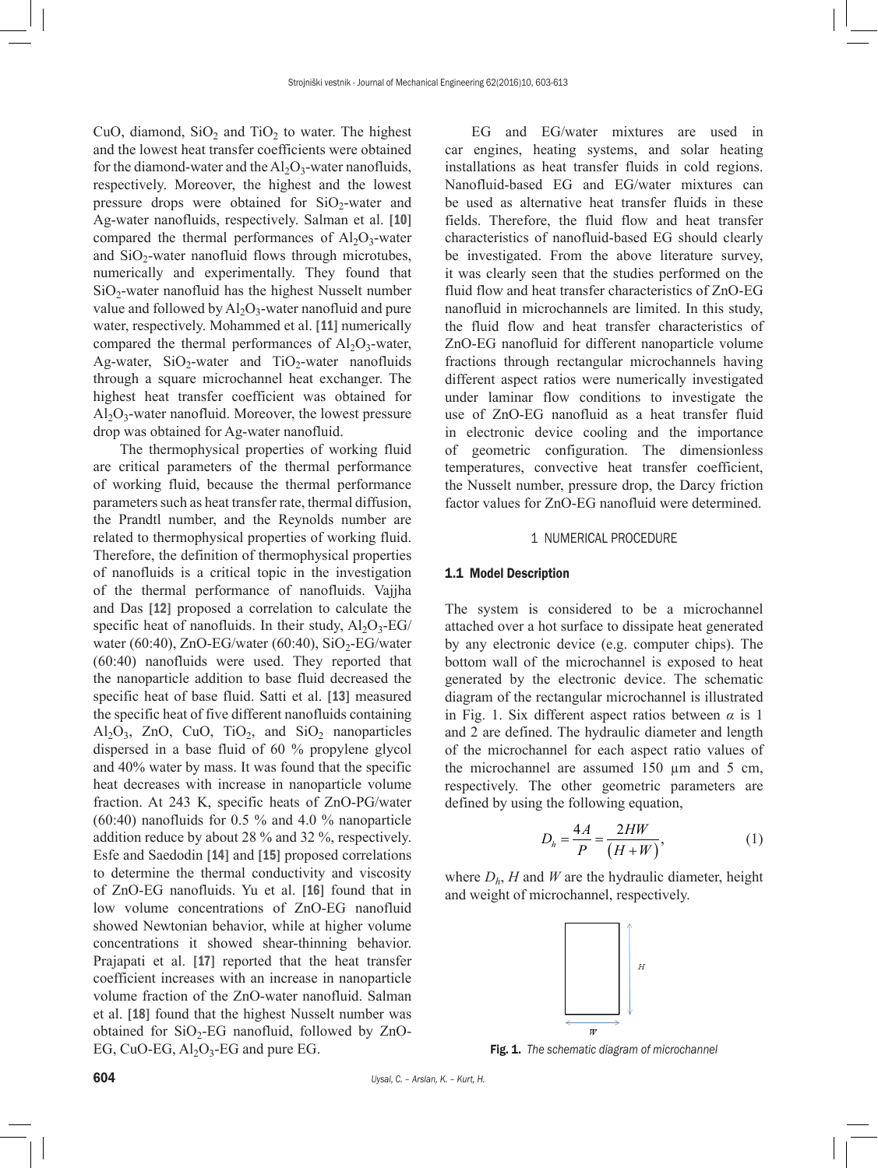CuO, diamond,  $SiO<sub>2</sub>$  and TiO<sub>2</sub> to water. The highest and the lowest heat transfer coefficients were obtained for the diamond-water and the  $Al_2O_3$ -water nanofluids, respectively. Moreover, the highest and the lowest pressure drops were obtained for  $SiO<sub>2</sub>$ -water and Ag-water nanofluids, respectively. Salman et al. [10] compared the thermal performances of  $Al_2O_3$ -water and  $SiO<sub>2</sub>$ -water nanofluid flows through microtubes. numerically and experimentally. They found that  $SiO<sub>2</sub>$ -water nanofluid has the highest Nusselt number value and followed by  $Al_2O_3$ -water nanofluid and pure water, respectively. Mohammed et al. [11] numerically compared the thermal performances of  $Al_2O_3$ -water, Ag-water,  $SiO_2$ -water and  $TiO_2$ -water nanofluids through a square microchannel heat exchanger. The highest heat transfer coefficient was obtained for  $Al_2O_3$ -water nanofluid. Moreover, the lowest pressure drop was obtained for Ag-water nanofluid.

The thermophysical properties of working fluid are critical parameters of the thermal performance of working fluid, because the thermal performance parameters such as heat transfer rate, thermal diffusion, the Prandtl number, and the Reynolds number are related to thermophysical properties of working fluid. Therefore, the definition of thermophysical properties of nanofluids is a critical topic in the investigation of the thermal performance of nanofluids. Vajjha and Das [12] proposed a correlation to calculate the specific heat of nanofluids. In their study,  $Al_2O_3$ -EG/ water (60:40), ZnO-EG/water (60:40),  $SiO<sub>2</sub>$ -EG/water (60:40) nanofluids were used. They reported that the nanoparticle addition to base fluid decreased the specific heat of base fluid. Satti et al. [13] measured the specific heat of five different nanofluids containing  $\text{Al}_2\text{O}_3$ , ZnO, CuO, TiO<sub>2</sub>, and SiO<sub>2</sub> nanoparticles dispersed in a base fluid of 60 % propylene glycol and 40% water by mass. It was found that the specific heat decreases with increase in nanoparticle volume fraction. At 243 K, specific heats of ZnO-PG/water (60:40) nanofluids for 0.5 % and 4.0 % nanoparticle addition reduce by about 28 % and 32 %, respectively. Esfe and Saedodin [14] and [15] proposed correlations to determine the thermal conductivity and viscosity of ZnO-EG nanofluids. Yu et al. [16] found that in low volume concentrations of ZnO-EG nanofluid showed Newtonian behavior, while at higher volume concentrations it showed shear-thinning behavior. Prajapati et al. [17] reported that the heat transfer coefficient increases with an increase in nanoparticle volume fraction of the ZnO-water nanofluid. Salman et al. [18] found that the highest Nusselt number was obtained for  $SiO<sub>2</sub>$ -EG nanofluid, followed by ZnO-EG, CuO-EG,  $Al_2O_3$ -EG and pure EG.

EG and EG/water mixtures are used in car engines, heating systems, and solar heating installations as heat transfer fluids in cold regions. Nanofluid-based EG and EG/water mixtures can be used as alternative heat transfer fluids in these fields. Therefore, the fluid flow and heat transfer characteristics of nanofluid-based EG should clearly be investigated. From the above literature survey, it was clearly seen that the studies performed on the fluid flow and heat transfer characteristics of ZnO-EG nanofluid in microchannels are limited. In this study, the fluid flow and heat transfer characteristics of ZnO-EG nanofluid for different nanoparticle volume fractions through rectangular microchannels having different aspect ratios were numerically investigated under laminar flow conditions to investigate the use of ZnO-EG nanofluid as a heat transfer fluid in electronic device cooling and the importance of geometric configuration. The dimensionless temperatures, convective heat transfer coefficient, the Nusselt number, pressure drop, the Darcy friction factor values for ZnO-EG nanofluid were determined.

#### 1 NUMERICAL PROCEDURE

## 1.1 Model Description

The system is considered to be a microchannel attached over a hot surface to dissipate heat generated by any electronic device (e.g. computer chips). The bottom wall of the microchannel is exposed to heat generated by the electronic device. The schematic diagram of the rectangular microchannel is illustrated in Fig. 1. Six different aspect ratios between *α* is 1 and 2 are defined. The hydraulic diameter and length of the microchannel for each aspect ratio values of the microchannel are assumed 150 µm and 5 cm, respectively. The other geometric parameters are defined by using the following equation,

$$
D_h = \frac{4A}{P} = \frac{2HW}{(H+W)},\tag{1}
$$

where  $D_h$ , *H* and *W* are the hydraulic diameter, height and weight of microchannel, respectively.



Fig. 1. *The schematic diagram of microchannel*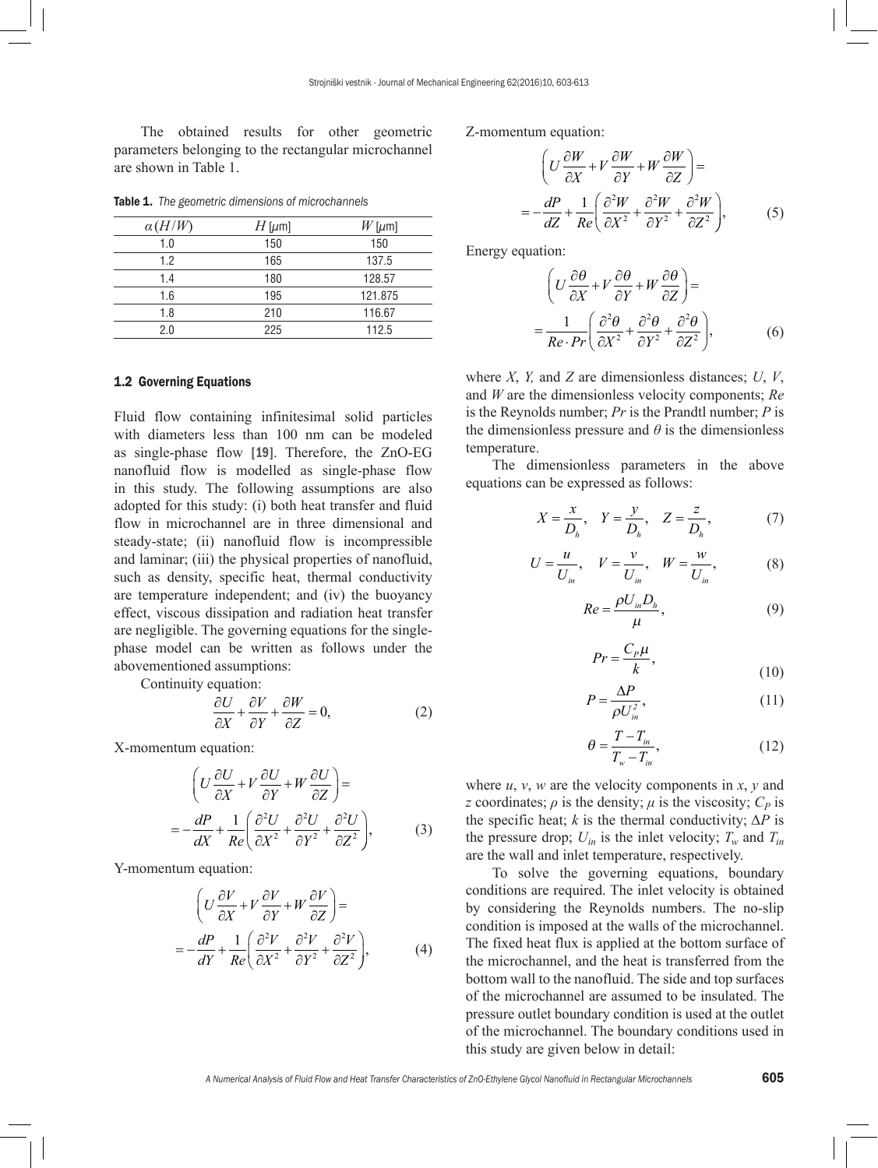The obtained results for other geometric parameters belonging to the rectangular microchannel are shown in Table 1.

| $\alpha(H/W)$ | $H$ [ $\mu$ m] | $W$ [µm] |
|---------------|----------------|----------|
| 1.0           | 150            | 150      |
| 1.2           | 165            | 137.5    |
| 1.4           | 180            | 128.57   |
| 1.6           | 195            | 121.875  |
| 1.8           | 210            | 116.67   |
| 2.0           | 225            | 112.5    |

Table 1. *The geometric dimensions of microchannels*

#### 1.2 Governing Equations

Fluid flow containing infinitesimal solid particles with diameters less than 100 nm can be modeled as single-phase flow [19]. Therefore, the ZnO-EG nanofluid flow is modelled as single-phase flow in this study. The following assumptions are also adopted for this study: (i) both heat transfer and fluid flow in microchannel are in three dimensional and steady-state; (ii) nanofluid flow is incompressible and laminar; (iii) the physical properties of nanofluid, such as density, specific heat, thermal conductivity are temperature independent; and (iv) the buoyancy effect, viscous dissipation and radiation heat transfer are negligible. The governing equations for the singlephase model can be written as follows under the abovementioned assumptions:

Continuity equation:

$$
\frac{\partial U}{\partial X} + \frac{\partial V}{\partial Y} + \frac{\partial W}{\partial Z} = 0,\tag{2}
$$

X-momentum equation:

$$
\left(U\frac{\partial U}{\partial X} + V\frac{\partial U}{\partial Y} + W\frac{\partial U}{\partial Z}\right) =
$$
\n
$$
= -\frac{dP}{dX} + \frac{1}{Re} \left(\frac{\partial^2 U}{\partial X^2} + \frac{\partial^2 U}{\partial Y^2} + \frac{\partial^2 U}{\partial Z^2}\right),
$$
\n(3)

Y-momentum equation:

$$
\left(U\frac{\partial V}{\partial X} + V\frac{\partial V}{\partial Y} + W\frac{\partial V}{\partial Z}\right) =
$$
\n
$$
= -\frac{dP}{dY} + \frac{1}{Re} \left(\frac{\partial^2 V}{\partial X^2} + \frac{\partial^2 V}{\partial Y^2} + \frac{\partial^2 V}{\partial Z^2}\right),
$$
\n(4)

Z-momentum equation:

$$
\left(U\frac{\partial W}{\partial X} + V\frac{\partial W}{\partial Y} + W\frac{\partial W}{\partial Z}\right) =
$$
\n
$$
= -\frac{dP}{dZ} + \frac{1}{Re} \left(\frac{\partial^2 W}{\partial X^2} + \frac{\partial^2 W}{\partial Y^2} + \frac{\partial^2 W}{\partial Z^2}\right),
$$
\n(5)

Energy equation:

$$
\left(U\frac{\partial\theta}{\partial X} + V\frac{\partial\theta}{\partial Y} + W\frac{\partial\theta}{\partial Z}\right) =
$$
\n
$$
=\frac{1}{Re\cdot Pr}\left(\frac{\partial^2\theta}{\partial X^2} + \frac{\partial^2\theta}{\partial Y^2} + \frac{\partial^2\theta}{\partial Z^2}\right),
$$
\n(6)

where *X*, *Y,* and *Z* are dimensionless distances; *U*, *V*, and *W* are the dimensionless velocity components; *Re* is the Reynolds number; *Pr* is the Prandtl number; *P* is the dimensionless pressure and  $\theta$  is the dimensionless temperature.

The dimensionless parameters in the above equations can be expressed as follows:

$$
X = \frac{x}{D_h}, \quad Y = \frac{y}{D_h}, \quad Z = \frac{z}{D_h}, \tag{7}
$$

$$
U = \frac{u}{U_{in}}, \quad V = \frac{v}{U_{in}}, \quad W = \frac{w}{U_{in}}, \tag{8}
$$

$$
Re = \frac{\rho U_{in} D_h}{\mu},\tag{9}
$$

$$
Pr = \frac{C_p \mu}{k},\tag{10}
$$

$$
P = \frac{\Delta P}{\rho U_{in}^2},\tag{11}
$$

$$
\theta = \frac{T - T_{in}}{T_w - T_{in}},\tag{12}
$$

where *u*, *v*, *w* are the velocity components in *x*, *y* and *z* coordinates;  $\rho$  is the density;  $\mu$  is the viscosity;  $C_p$  is the specific heat; *k* is the thermal conductivity;  $\Delta P$  is the pressure drop;  $U_{in}$  is the inlet velocity;  $T_w$  and  $T_{in}$ are the wall and inlet temperature, respectively.

To solve the governing equations, boundary conditions are required. The inlet velocity is obtained by considering the Reynolds numbers. The no-slip condition is imposed at the walls of the microchannel. The fixed heat flux is applied at the bottom surface of the microchannel, and the heat is transferred from the bottom wall to the nanofluid. The side and top surfaces of the microchannel are assumed to be insulated. The pressure outlet boundary condition is used at the outlet of the microchannel. The boundary conditions used in this study are given below in detail: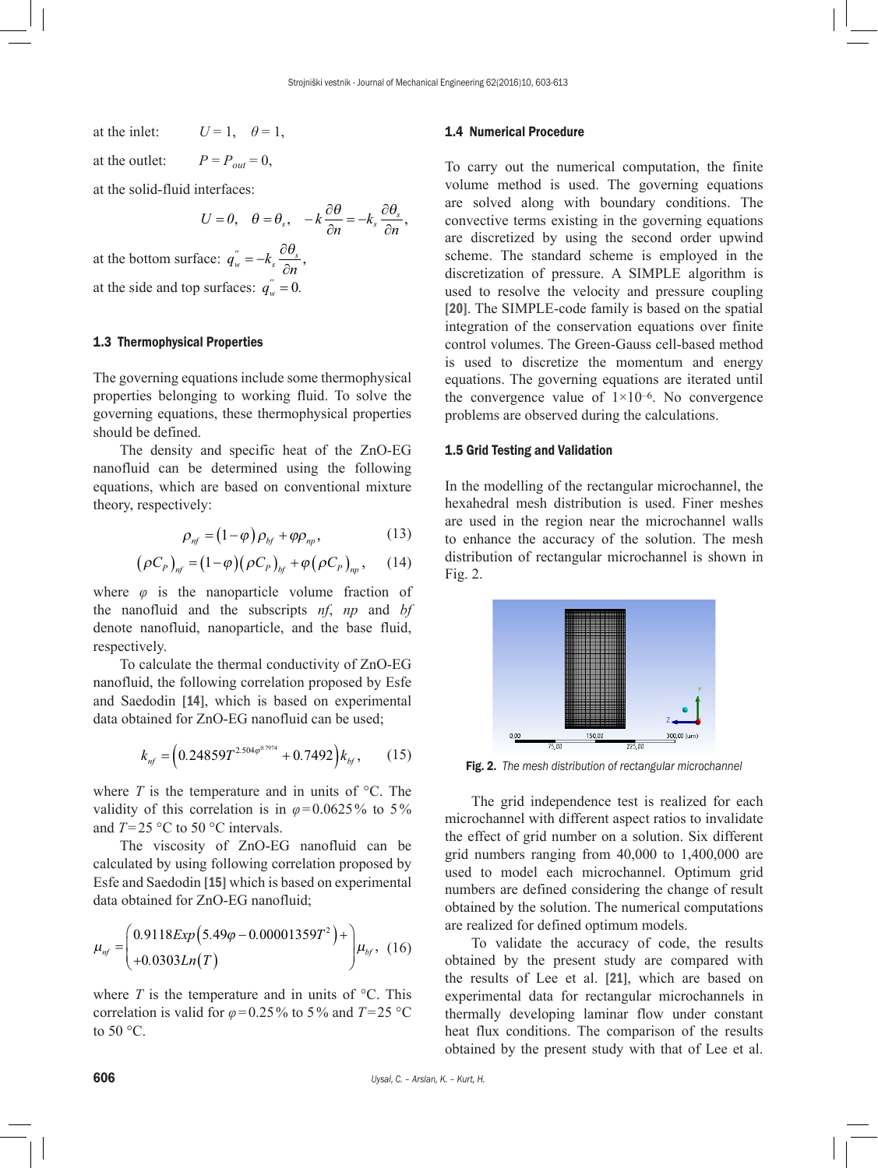at the inlet:  $U = 1$ ,  $\theta = 1$ ,

at the outlet:  $P = P_{out} = 0$ ,

at the solid-fluid interfaces:

$$
U=0, \quad \theta=\theta_s, \quad -k\frac{\partial\theta}{\partial n}=-k_s\frac{\partial\theta_s}{\partial n},
$$

at the bottom surface:  $q_w^{"} = -k_s \frac{\partial \theta_s}{\partial n}$ , at the side and top surfaces:  $q_w^{\prime\prime} = 0$ .

# 1.3 Thermophysical Properties

The governing equations include some thermophysical properties belonging to working fluid. To solve the governing equations, these thermophysical properties should be defined.

The density and specific heat of the ZnO-EG nanofluid can be determined using the following equations, which are based on conventional mixture theory, respectively:

$$
\rho_{\eta f} = (1 - \varphi) \rho_{\text{bf}} + \varphi \rho_{\text{np}}, \qquad (13)
$$

$$
(\rho C_p)_{\text{nf}} = (1 - \varphi)(\rho C_p)_{\text{bf}} + \varphi(\rho C_p)_{\text{np}}, \quad (14)
$$

where  $\varphi$  is the nanoparticle volume fraction of the nanofluid and the subscripts *nf*, *np* and *bf* denote nanofluid, nanoparticle, and the base fluid, respectively.

To calculate the thermal conductivity of ZnO-EG nanofluid, the following correlation proposed by Esfe and Saedodin [14], which is based on experimental data obtained for ZnO-EG nanofluid can be used;

$$
k_{nf} = \left(0.24859T^{2.504\varphi^{0.7974}} + 0.7492\right)k_{bf},\qquad(15)
$$

where  $T$  is the temperature and in units of  $\mathrm{C}^{\circ}$ . The validity of this correlation is in  $\varphi$ =0.0625% to 5% and *T*=25 °C to 50 °C intervals.

The viscosity of ZnO-EG nanofluid can be calculated by using following correlation proposed by Esfe and Saedodin [15] which is based on experimental data obtained for ZnO-EG nanofluid;

$$
\mu_{nf} = \begin{pmatrix} 0.9118Exp(5.49\varphi - 0.00001359T^2) + \\ +0.0303Ln(T) \end{pmatrix} \mu_{bf}, \ (16)
$$

where  $T$  is the temperature and in units of  $\mathrm{C}^{\circ}$ . This correlation is valid for  $\varphi$ =0.25% to 5% and *T*=25 °C to 50 °C.

#### 1.4 Numerical Procedure

To carry out the numerical computation, the finite volume method is used. The governing equations are solved along with boundary conditions. The convective terms existing in the governing equations are discretized by using the second order upwind scheme. The standard scheme is employed in the discretization of pressure. A SIMPLE algorithm is used to resolve the velocity and pressure coupling [20]. The SIMPLE-code family is based on the spatial integration of the conservation equations over finite control volumes. The Green-Gauss cell-based method is used to discretize the momentum and energy equations. The governing equations are iterated until the convergence value of  $1\times10^{-6}$ . No convergence problems are observed during the calculations.

## 1.5 Grid Testing and Validation

In the modelling of the rectangular microchannel, the hexahedral mesh distribution is used. Finer meshes are used in the region near the microchannel walls to enhance the accuracy of the solution. The mesh distribution of rectangular microchannel is shown in Fig. 2.



Fig. 2. *The mesh distribution of rectangular microchannel*

The grid independence test is realized for each microchannel with different aspect ratios to invalidate the effect of grid number on a solution. Six different grid numbers ranging from 40,000 to 1,400,000 are used to model each microchannel. Optimum grid numbers are defined considering the change of result obtained by the solution. The numerical computations are realized for defined optimum models.

To validate the accuracy of code, the results obtained by the present study are compared with the results of Lee et al. [21], which are based on experimental data for rectangular microchannels in thermally developing laminar flow under constant heat flux conditions. The comparison of the results obtained by the present study with that of Lee et al.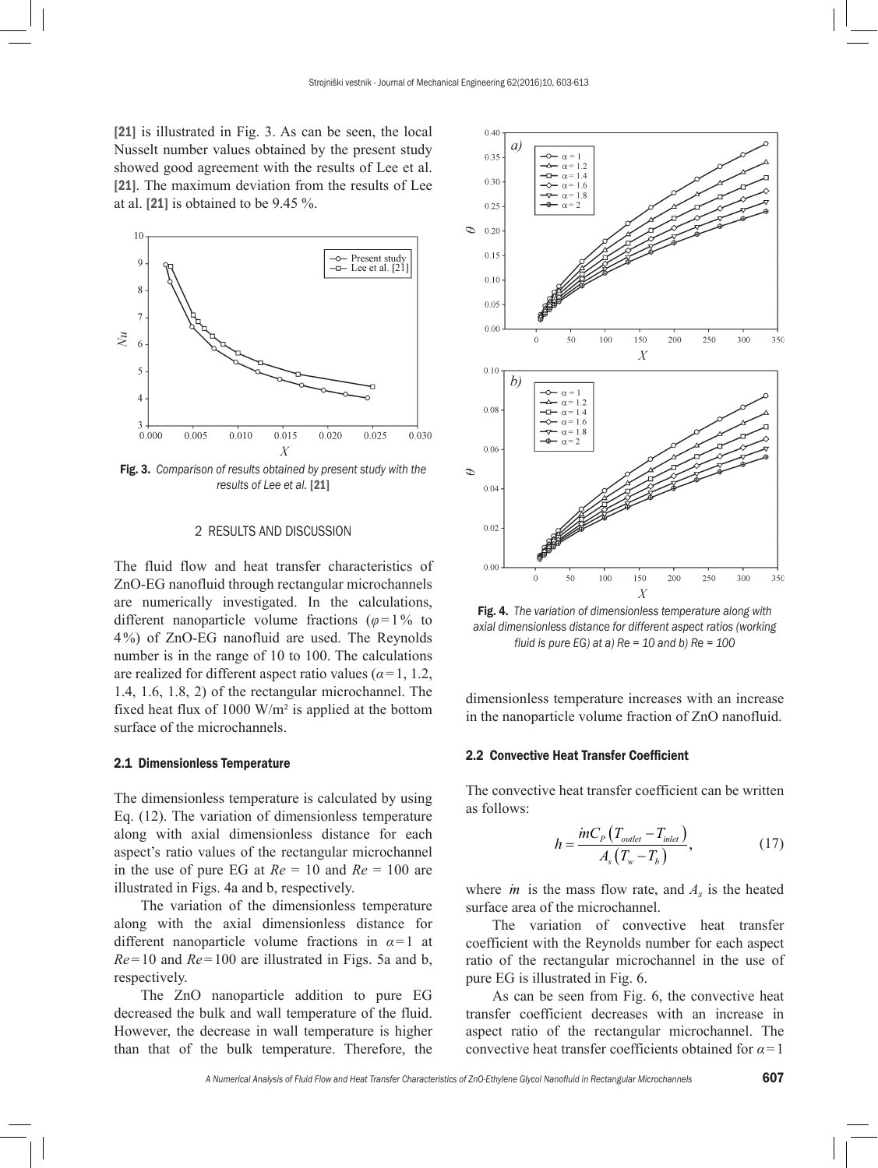[21] is illustrated in Fig. 3. As can be seen, the local Nusselt number values obtained by the present study showed good agreement with the results of Lee et al. [21]. The maximum deviation from the results of Lee at al. [21] is obtained to be 9.45 %.



Fig. 3. *Comparison of results obtained by present study with the results of Lee et al.* [21]

#### 2 RESULTS AND DISCUSSION

The fluid flow and heat transfer characteristics of ZnO-EG nanofluid through rectangular microchannels are numerically investigated. In the calculations, different nanoparticle volume fractions  $(\varphi = 1\%$  to 4%) of ZnO-EG nanofluid are used. The Reynolds number is in the range of 10 to 100. The calculations are realized for different aspect ratio values (*α*=1, 1.2, 1.4, 1.6, 1.8, 2) of the rectangular microchannel. The fixed heat flux of 1000 W/m² is applied at the bottom surface of the microchannels.

### 2.1 Dimensionless Temperature

The dimensionless temperature is calculated by using Eq. (12). The variation of dimensionless temperature along with axial dimensionless distance for each aspect's ratio values of the rectangular microchannel in the use of pure EG at  $Re = 10$  and  $Re = 100$  are illustrated in Figs. 4a and b, respectively.

The variation of the dimensionless temperature along with the axial dimensionless distance for different nanoparticle volume fractions in *α*=1 at *Re*=10 and *Re*=100 are illustrated in Figs. 5a and b, respectively.

The ZnO nanoparticle addition to pure EG decreased the bulk and wall temperature of the fluid. However, the decrease in wall temperature is higher than that of the bulk temperature. Therefore, the



Fig. 4. *The variation of dimensionless temperature along with axial dimensionless distance for different aspect ratios (working fluid is pure EG) at a) Re = 10 and b) Re = 100* 

dimensionless temperature increases with an increase in the nanoparticle volume fraction of ZnO nanofluid.

#### 2.2 Convective Heat Transfer Coefficient

The convective heat transfer coefficient can be written as follows:

$$
h = \frac{mc_p \left(T_{\text{outlet}} - T_{\text{inlet}}\right)}{A_s \left(T_w - T_b\right)},\tag{17}
$$

where  $\dot{m}$  is the mass flow rate, and  $A_s$  is the heated surface area of the microchannel.

The variation of convective heat transfer coefficient with the Reynolds number for each aspect ratio of the rectangular microchannel in the use of pure EG is illustrated in Fig. 6.

As can be seen from Fig. 6, the convective heat transfer coefficient decreases with an increase in aspect ratio of the rectangular microchannel. The convective heat transfer coefficients obtained for *α*=1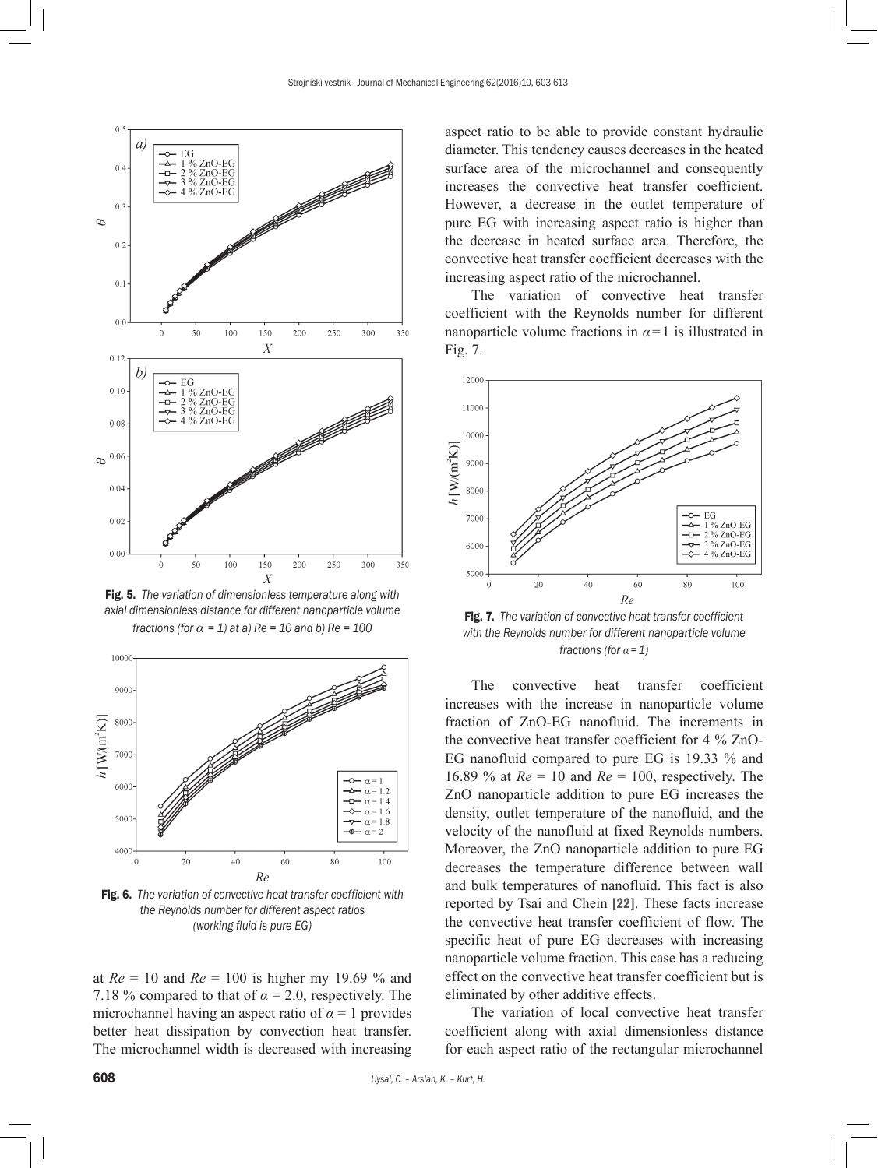

Fig. 5. *The variation of dimensionless temperature along with axial dimensionless distance for different nanoparticle volume fractions (for*  $\alpha = 1$ *) at a) Re = 10 and b) Re = 100* 



Fig. 6. *The variation of convective heat transfer coefficient with the Reynolds number for different aspect ratios (working fluid is pure EG)*

at *Re* = 10 and *Re* = 100 is higher my 19.69 % and 7.18 % compared to that of  $\alpha = 2.0$ , respectively. The microchannel having an aspect ratio of  $\alpha = 1$  provides better heat dissipation by convection heat transfer. The microchannel width is decreased with increasing aspect ratio to be able to provide constant hydraulic diameter. This tendency causes decreases in the heated surface area of the microchannel and consequently increases the convective heat transfer coefficient. However, a decrease in the outlet temperature of pure EG with increasing aspect ratio is higher than the decrease in heated surface area. Therefore, the convective heat transfer coefficient decreases with the increasing aspect ratio of the microchannel.

The variation of convective heat transfer coefficient with the Reynolds number for different nanoparticle volume fractions in  $\alpha = 1$  is illustrated in Fig. 7.



Fig. 7. *The variation of convective heat transfer coefficient with the Reynolds number for different nanoparticle volume fractions (for α =1)*

The convective heat transfer coefficient increases with the increase in nanoparticle volume fraction of ZnO-EG nanofluid. The increments in the convective heat transfer coefficient for 4 % ZnO-EG nanofluid compared to pure EG is 19.33 % and 16.89 % at *Re* = 10 and *Re* = 100, respectively. The ZnO nanoparticle addition to pure EG increases the density, outlet temperature of the nanofluid, and the velocity of the nanofluid at fixed Reynolds numbers. Moreover, the ZnO nanoparticle addition to pure EG decreases the temperature difference between wall and bulk temperatures of nanofluid. This fact is also reported by Tsai and Chein [22]. These facts increase the convective heat transfer coefficient of flow. The specific heat of pure EG decreases with increasing nanoparticle volume fraction. This case has a reducing effect on the convective heat transfer coefficient but is eliminated by other additive effects.

The variation of local convective heat transfer coefficient along with axial dimensionless distance for each aspect ratio of the rectangular microchannel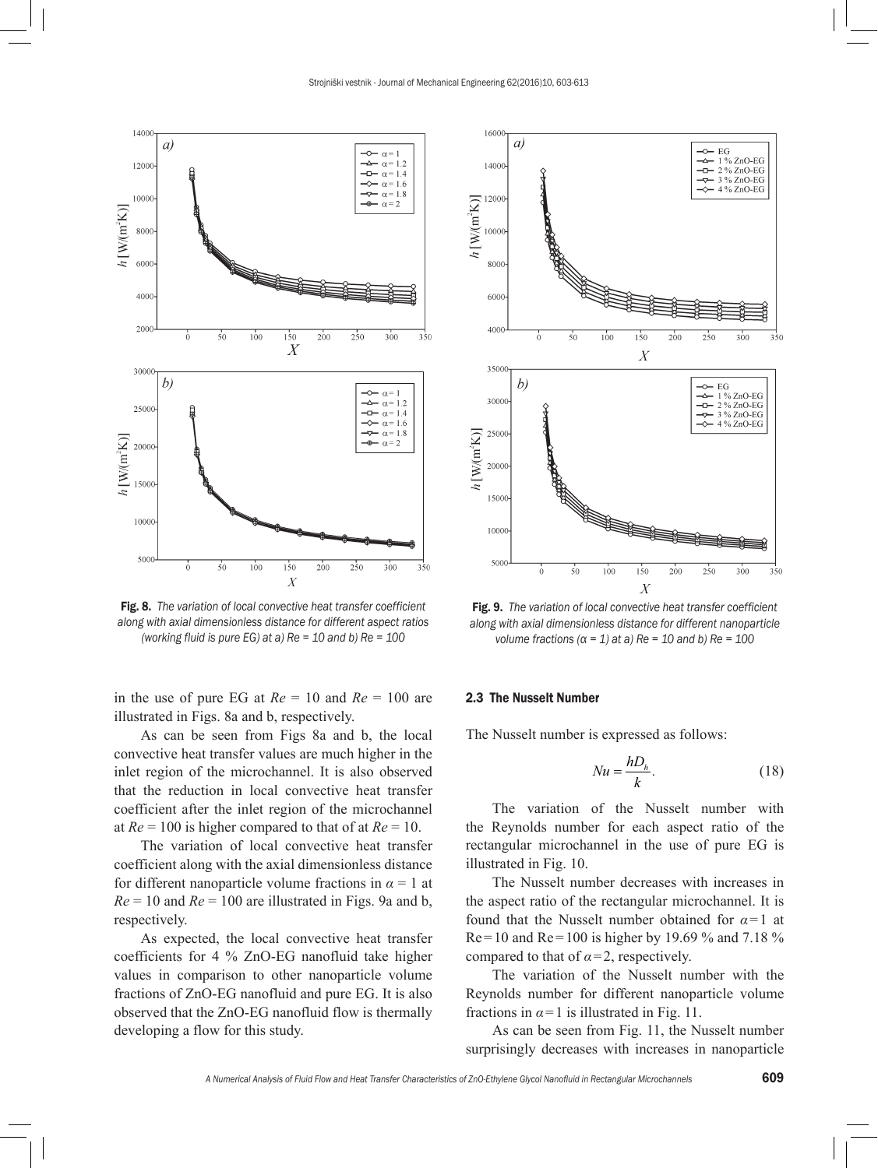



Fig. 8. *The variation of local convective heat transfer coefficient along with axial dimensionless distance for different aspect ratios (working fluid is pure EG) at a) Re = 10 and b) Re = 100*

in the use of pure EG at  $Re = 10$  and  $Re = 100$  are illustrated in Figs. 8a and b, respectively.

As can be seen from Figs 8a and b, the local convective heat transfer values are much higher in the inlet region of the microchannel. It is also observed that the reduction in local convective heat transfer coefficient after the inlet region of the microchannel at *Re* = 100 is higher compared to that of at *Re* = 10.

The variation of local convective heat transfer coefficient along with the axial dimensionless distance for different nanoparticle volume fractions in  $\alpha = 1$  at  $Re = 10$  and  $Re = 100$  are illustrated in Figs. 9a and b, respectively.

As expected, the local convective heat transfer coefficients for 4 % ZnO-EG nanofluid take higher values in comparison to other nanoparticle volume fractions of ZnO-EG nanofluid and pure EG. It is also observed that the ZnO-EG nanofluid flow is thermally developing a flow for this study.



Fig. 9. *The variation of local convective heat transfer coefficient along with axial dimensionless distance for different nanoparticle volume fractions (α = 1) at a) Re = 10 and b) Re = 100*

## 2.3 The Nusselt Number

The Nusselt number is expressed as follows:

$$
Nu = \frac{hD_h}{k}.\tag{18}
$$

The variation of the Nusselt number with the Reynolds number for each aspect ratio of the rectangular microchannel in the use of pure EG is illustrated in Fig. 10.

The Nusselt number decreases with increases in the aspect ratio of the rectangular microchannel. It is found that the Nusselt number obtained for *α*=1 at  $Re=10$  and  $Re=100$  is higher by 19.69 % and 7.18 % compared to that of  $\alpha = 2$ , respectively.

The variation of the Nusselt number with the Reynolds number for different nanoparticle volume fractions in  $\alpha$ =1 is illustrated in Fig. 11.

As can be seen from Fig. 11, the Nusselt number surprisingly decreases with increases in nanoparticle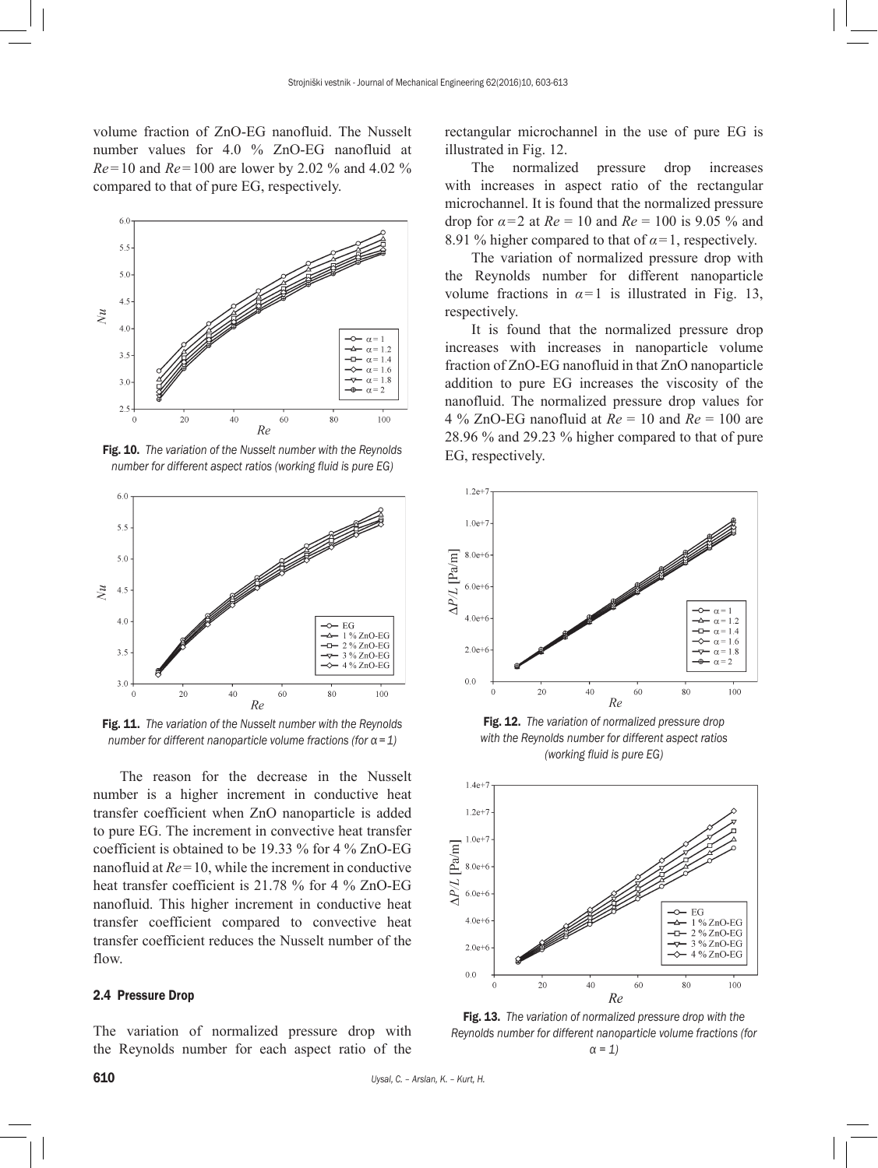volume fraction of ZnO-EG nanofluid. The Nusselt number values for 4.0 % ZnO-EG nanofluid at *Re*=10 and *Re*=100 are lower by 2.02 % and 4.02 % compared to that of pure EG, respectively.



Fig. 10. *The variation of the Nusselt number with the Reynolds number for different aspect ratios (working fluid is pure EG)*



Fig. 11. *The variation of the Nusselt number with the Reynolds number for different nanoparticle volume fractions (for α=1)*

The reason for the decrease in the Nusselt number is a higher increment in conductive heat transfer coefficient when ZnO nanoparticle is added to pure EG. The increment in convective heat transfer coefficient is obtained to be 19.33 % for 4 % ZnO-EG nanofluid at *Re*=10, while the increment in conductive heat transfer coefficient is 21.78 % for 4 % ZnO-EG nanofluid. This higher increment in conductive heat transfer coefficient compared to convective heat transfer coefficient reduces the Nusselt number of the flow.

## 2.4 Pressure Drop

The variation of normalized pressure drop with the Reynolds number for each aspect ratio of the rectangular microchannel in the use of pure EG is illustrated in Fig. 12.

The normalized pressure drop increases with increases in aspect ratio of the rectangular microchannel. It is found that the normalized pressure drop for  $\alpha = 2$  at  $Re = 10$  and  $Re = 100$  is 9.05 % and 8.91 % higher compared to that of  $\alpha = 1$ , respectively.

The variation of normalized pressure drop with the Reynolds number for different nanoparticle volume fractions in  $\alpha=1$  is illustrated in Fig. 13, respectively.

It is found that the normalized pressure drop increases with increases in nanoparticle volume fraction of ZnO-EG nanofluid in that ZnO nanoparticle addition to pure EG increases the viscosity of the nanofluid. The normalized pressure drop values for 4 % ZnO-EG nanofluid at *Re* = 10 and *Re* = 100 are 28.96 % and 29.23 % higher compared to that of pure EG, respectively.



Fig. 12. *The variation of normalized pressure drop with the Reynolds number for different aspect ratios (working fluid is pure EG)*



Fig. 13. *The variation of normalized pressure drop with the Reynolds number for different nanoparticle volume fractions (for α = 1)*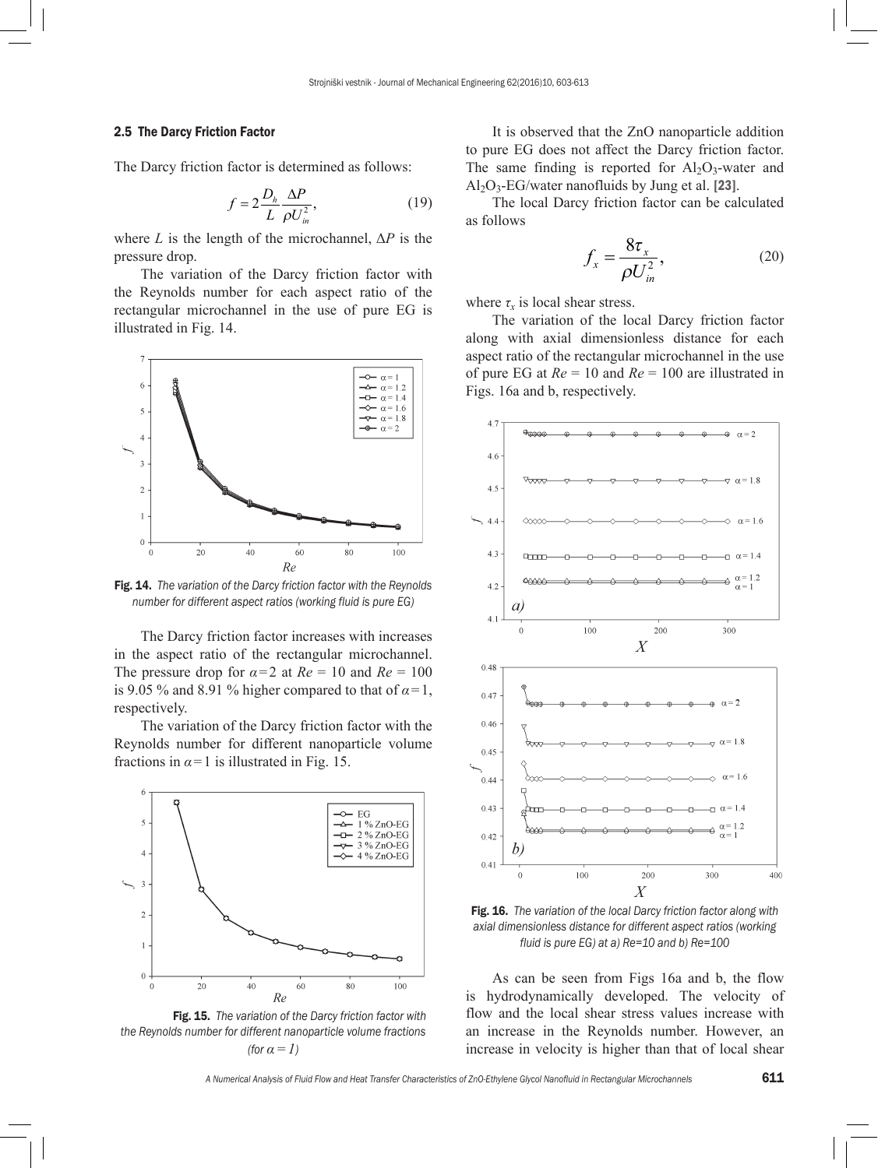## 2.5 The Darcy Friction Factor

The Darcy friction factor is determined as follows:

$$
f = 2\frac{D_h}{L} \frac{\Delta P}{\rho U_m^2},\tag{19}
$$

where *L* is the length of the microchannel,  $\Delta P$  is the pressure drop.

The variation of the Darcy friction factor with the Reynolds number for each aspect ratio of the rectangular microchannel in the use of pure EG is illustrated in Fig. 14.



Fig. 14. *The variation of the Darcy friction factor with the Reynolds number for different aspect ratios (working fluid is pure EG)*

The Darcy friction factor increases with increases in the aspect ratio of the rectangular microchannel. The pressure drop for  $\alpha = 2$  at  $Re = 10$  and  $Re = 100$ is 9.05 % and 8.91 % higher compared to that of  $\alpha = 1$ , respectively.

The variation of the Darcy friction factor with the Reynolds number for different nanoparticle volume fractions in  $\alpha$ =1 is illustrated in Fig. 15.





It is observed that the ZnO nanoparticle addition to pure EG does not affect the Darcy friction factor. The same finding is reported for  $Al_2O_3$ -water and  $Al_2O_3$ -EG/water nanofluids by Jung et al. [23].

The local Darcy friction factor can be calculated as follows

$$
f_x = \frac{8\tau_x}{\rho U_{in}^2},\tag{20}
$$

where  $\tau_r$  is local shear stress.

The variation of the local Darcy friction factor along with axial dimensionless distance for each aspect ratio of the rectangular microchannel in the use of pure EG at *Re* = 10 and *Re* = 100 are illustrated in Figs. 16a and b, respectively.



Fig. 16. *The variation of the local Darcy friction factor along with axial dimensionless distance for different aspect ratios (working fluid is pure EG) at a) Re=10 and b) Re=100*

As can be seen from Figs 16a and b, the flow is hydrodynamically developed. The velocity of flow and the local shear stress values increase with an increase in the Reynolds number. However, an increase in velocity is higher than that of local shear

*A Numerical Analysis of Fluid Flow and Heat Transfer Characteristics of ZnO-Ethylene Glycol Nanofluid in Rectangular Microchannels* 611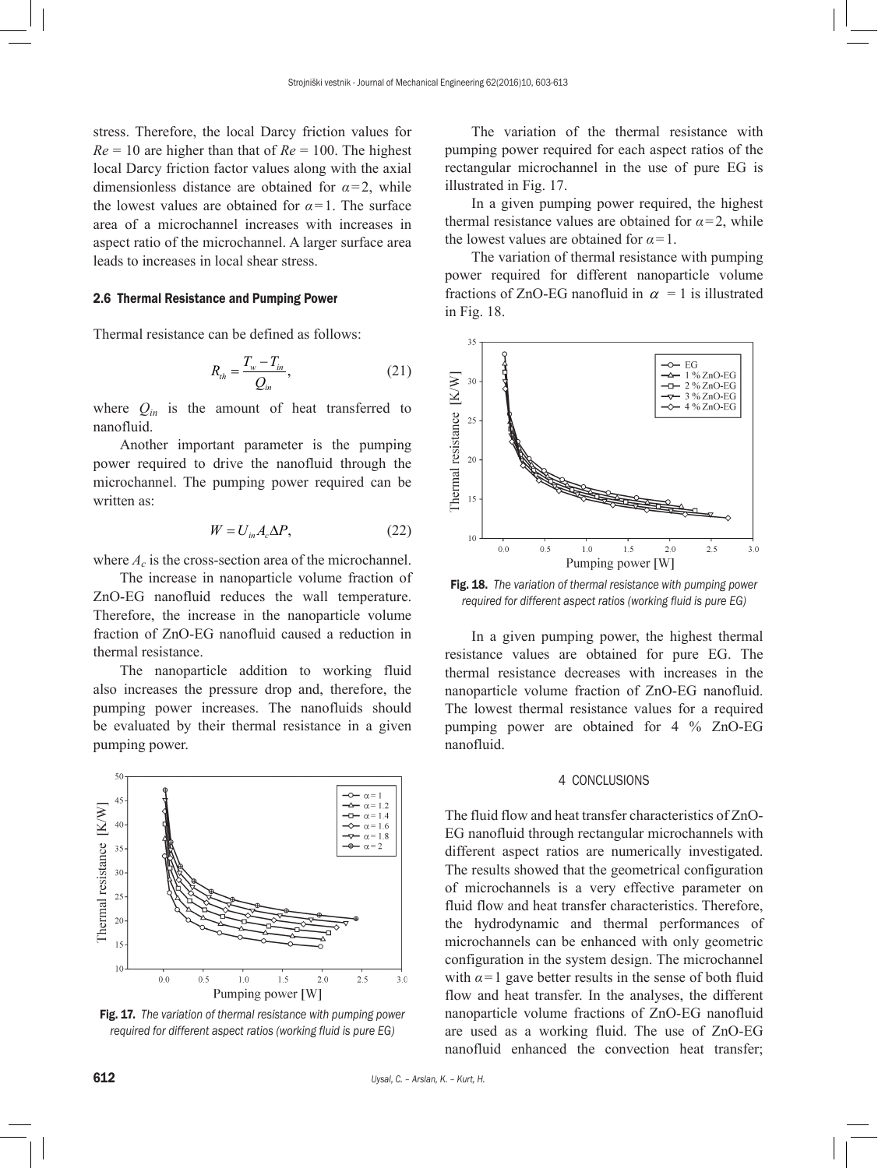stress. Therefore, the local Darcy friction values for  $Re = 10$  are higher than that of  $Re = 100$ . The highest local Darcy friction factor values along with the axial dimensionless distance are obtained for  $\alpha = 2$ , while the lowest values are obtained for  $\alpha = 1$ . The surface area of a microchannel increases with increases in aspect ratio of the microchannel. A larger surface area leads to increases in local shear stress.

#### 2.6 Thermal Resistance and Pumping Power

Thermal resistance can be defined as follows:

$$
R_{th} = \frac{T_w - T_{in}}{Q_{in}},
$$
 (21)

where  $Q_{in}$  is the amount of heat transferred to nanofluid.

Another important parameter is the pumping power required to drive the nanofluid through the microchannel. The pumping power required can be written as:

$$
W = U_{in} A_c \Delta P, \qquad (22)
$$

where  $A_c$  is the cross-section area of the microchannel.

The increase in nanoparticle volume fraction of ZnO-EG nanofluid reduces the wall temperature. Therefore, the increase in the nanoparticle volume fraction of ZnO-EG nanofluid caused a reduction in thermal resistance.

The nanoparticle addition to working fluid also increases the pressure drop and, therefore, the pumping power increases. The nanofluids should be evaluated by their thermal resistance in a given pumping power.



Fig. 17. *The variation of thermal resistance with pumping power required for different aspect ratios (working fluid is pure EG)* 

The variation of the thermal resistance with pumping power required for each aspect ratios of the rectangular microchannel in the use of pure EG is illustrated in Fig. 17.

In a given pumping power required, the highest thermal resistance values are obtained for  $\alpha = 2$ , while the lowest values are obtained for  $\alpha = 1$ .

The variation of thermal resistance with pumping power required for different nanoparticle volume fractions of ZnO-EG nanofluid in  $\alpha = 1$  is illustrated in Fig. 18.



Fig. 18. *The variation of thermal resistance with pumping power required for different aspect ratios (working fluid is pure EG)*

In a given pumping power, the highest thermal resistance values are obtained for pure EG. The thermal resistance decreases with increases in the nanoparticle volume fraction of ZnO-EG nanofluid. The lowest thermal resistance values for a required pumping power are obtained for 4 % ZnO-EG nanofluid.

## 4 CONCLUSIONS

The fluid flow and heat transfer characteristics of ZnO-EG nanofluid through rectangular microchannels with different aspect ratios are numerically investigated. The results showed that the geometrical configuration of microchannels is a very effective parameter on fluid flow and heat transfer characteristics. Therefore, the hydrodynamic and thermal performances of microchannels can be enhanced with only geometric configuration in the system design. The microchannel with  $\alpha = 1$  gave better results in the sense of both fluid flow and heat transfer. In the analyses, the different nanoparticle volume fractions of ZnO-EG nanofluid are used as a working fluid. The use of ZnO-EG nanofluid enhanced the convection heat transfer;